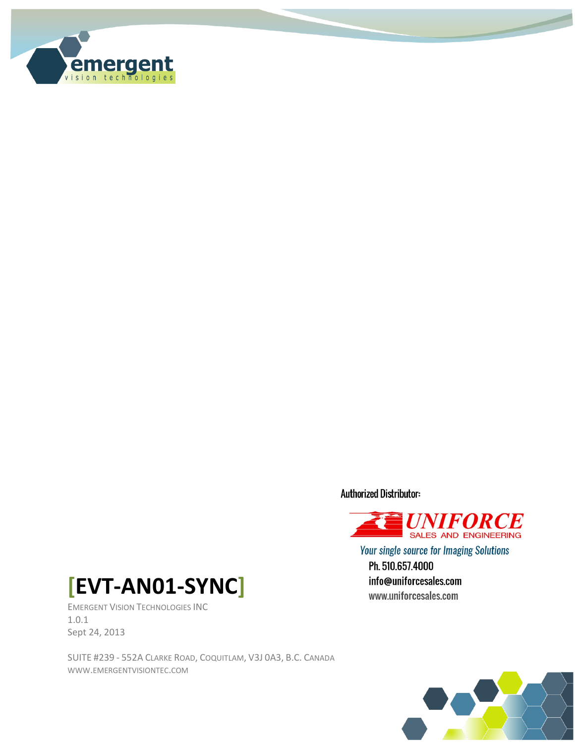

**Authorized Distributor:** 



**Your single source for Imaging Solutions** Ph. 510.657.4000 info@uniforcesales.com www.uniforcesales.com



EMERGENT VISION TECHNOLOGIES INC 1.0.1 Sept 24, 2013

SUITE #239 - 552A CLARKE ROAD, COQUITLAM, V3J 0A3, B.C. CANADA WWW.EMERGENTVISIONTEC.COM

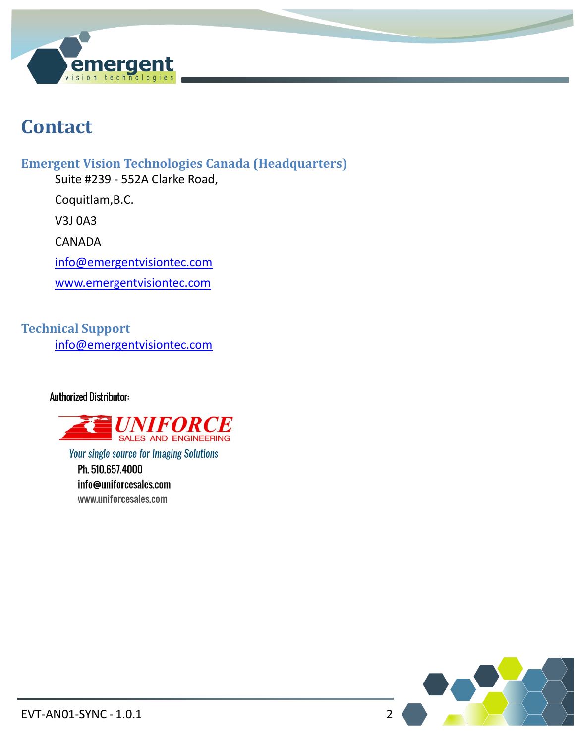

## **Contact**

**Emergent Vision Technologies Canada (Headquarters)**

Suite #239 - 552A Clarke Road,

Coquitlam,B.C.

V3J 0A3

CANADA

[info@emergentvisiontec.com](mailto:info@emergentvisiontec.com)

[www.emergentvisiontec.com](http://www.emergentvisiontec.com/)

**Technical Support** [info@emergentvisiontec.com](mailto:info@emergentvisiontec.com)

**Authorized Distributor:** 



**Your single source for Imaging Solutions** 

Ph. 510.657.4000 info@uniforcesales.com www.uniforcesales.com

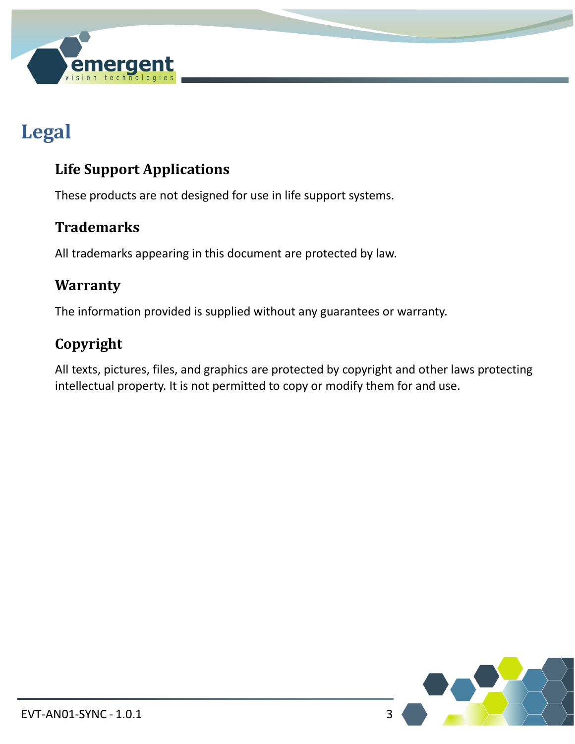

# **Legal**

### **Life Support Applications**

These products are not designed for use in life support systems.

#### **Trademarks**

All trademarks appearing in this document are protected by law.

#### **Warranty**

The information provided is supplied without any guarantees or warranty.

### **Copyright**

All texts, pictures, files, and graphics are protected by copyright and other laws protecting intellectual property. It is not permitted to copy or modify them for and use.

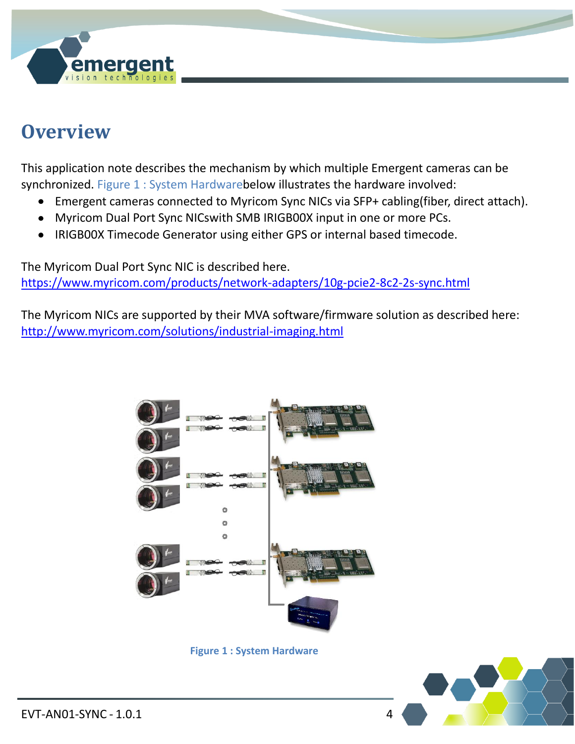

## **Overview**

This application note describes the mechanism by which multiple Emergent cameras can be synchronized. Figure 1 [: System Hardwareb](#page-3-0)elow illustrates the hardware involved:

- Emergent cameras connected to Myricom Sync NICs via SFP+ cabling(fiber, direct attach).
- Myricom Dual Port Sync NICswith SMB IRIGB00X input in one or more PCs.
- IRIGB00X Timecode Generator using either GPS or internal based timecode.

The Myricom Dual Port Sync NIC is described here. <https://www.myricom.com/products/network-adapters/10g-pcie2-8c2-2s-sync.html>

The Myricom NICs are supported by their MVA software/firmware solution as described here: <http://www.myricom.com/solutions/industrial-imaging.html>



**Figure 1 : System Hardware**

<span id="page-3-0"></span>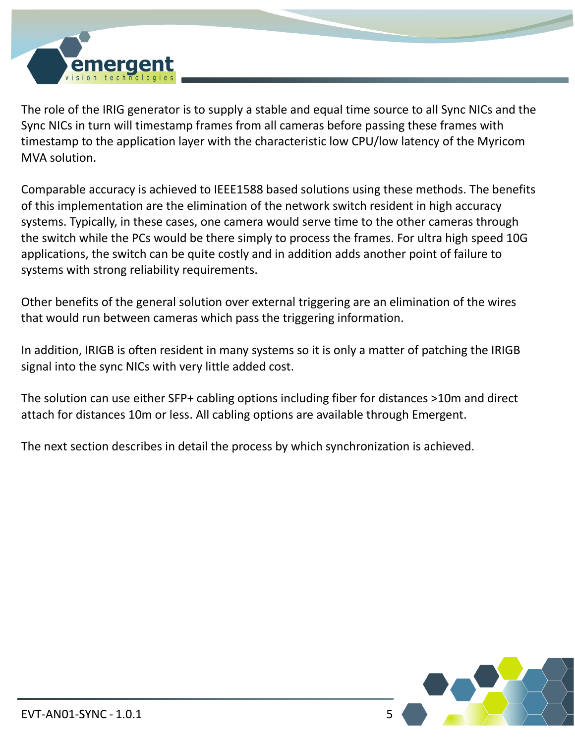

The role of the IRIG generator is to supply a stable and equal time source to all Sync NICs and the Sync NICs in turn will timestamp frames from all cameras before passing these frames with timestamp to the application layer with the characteristic low CPU/low latency of the Myricom MVA solution.

Comparable accuracy is achieved to IEEE1588 based solutions using these methods. The benefits of this implementation are the elimination of the network switch resident in high accuracy systems. Typically, in these cases, one camera would serve time to the other cameras through the switch while the PCs would be there simply to process the frames. For ultra high speed 10G applications, the switch can be quite costly and in addition adds another point of failure to systems with strong reliability requirements.

Other benefits of the general solution over external triggering are an elimination of the wires that would run between cameras which pass the triggering information.

In addition, IRIGB is often resident in many systems so it is only a matter of patching the IRIGB signal into the sync NICs with very little added cost.

The solution can use either SFP+ cabling options including fiber for distances >10m and direct attach for distances 10m or less. All cabling options are available through Emergent.

The next section describes in detail the process by which synchronization is achieved.

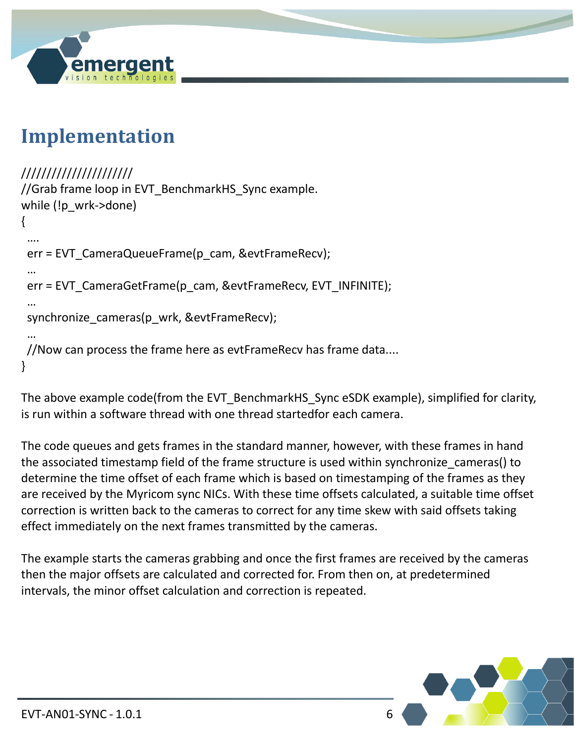

## **Implementation**

```
//////////////////////
//Grab frame loop in EVT BenchmarkHS Sync example.
while (!p_wrk->done)
{
 ….
  err = EVT_CameraQueueFrame(p_cam, &evtFrameRecv);
 …
 err = EVT_CameraGetFrame(p_cam, &evtFrameRecv, EVT_INFINITE);
 …
  synchronize_cameras(p_wrk, &evtFrameRecv);
 …
 //Now can process the frame here as evtFrameRecv has frame data....
}
```
The above example code(from the EVT BenchmarkHS Sync eSDK example), simplified for clarity, is run within a software thread with one thread startedfor each camera.

The code queues and gets frames in the standard manner, however, with these frames in hand the associated timestamp field of the frame structure is used within synchronize cameras() to determine the time offset of each frame which is based on timestamping of the frames as they are received by the Myricom sync NICs. With these time offsets calculated, a suitable time offset correction is written back to the cameras to correct for any time skew with said offsets taking effect immediately on the next frames transmitted by the cameras.

The example starts the cameras grabbing and once the first frames are received by the cameras then the major offsets are calculated and corrected for. From then on, at predetermined intervals, the minor offset calculation and correction is repeated.

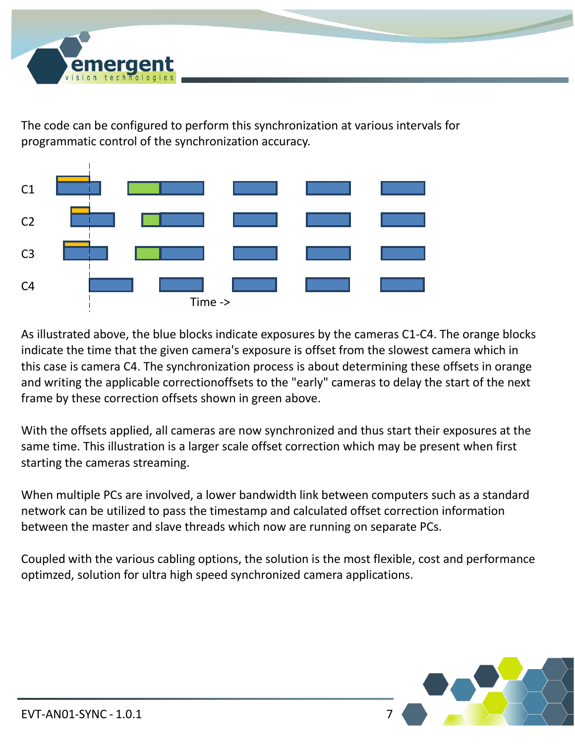

The code can be configured to perform this synchronization at various intervals for programmatic control of the synchronization accuracy.



As illustrated above, the blue blocks indicate exposures by the cameras C1-C4. The orange blocks indicate the time that the given camera's exposure is offset from the slowest camera which in this case is camera C4. The synchronization process is about determining these offsets in orange and writing the applicable correctionoffsets to the "early" cameras to delay the start of the next frame by these correction offsets shown in green above.

With the offsets applied, all cameras are now synchronized and thus start their exposures at the same time. This illustration is a larger scale offset correction which may be present when first starting the cameras streaming.

When multiple PCs are involved, a lower bandwidth link between computers such as a standard network can be utilized to pass the timestamp and calculated offset correction information between the master and slave threads which now are running on separate PCs.

Coupled with the various cabling options, the solution is the most flexible, cost and performance optimzed, solution for ultra high speed synchronized camera applications.